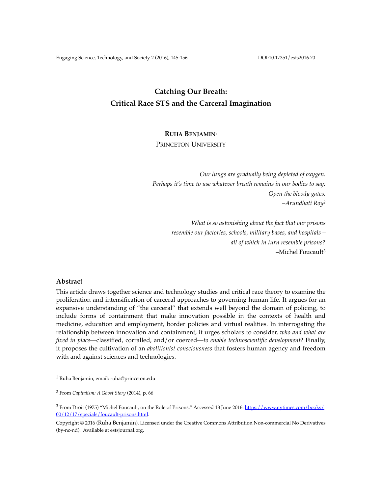# **Catching Our Breath: Critical Race STS and the Carceral Imagination**

# **RUHA BENJAMIN**<sup>1</sup>

PRINCETON UNIVERSITY

*Our lungs are gradually being depleted of oxygen. Perhaps it's time to use whatever breath remains in our bodies to say: Open the bloody gates. –Arundhati Roy2*

> *What is so astonishing about the fact that our prisons resemble our factories, schools, military bases, and hospitals – all of which in turn resemble prisons?* –Michel Foucault3

## **Abstract**

This article draws together science and technology studies and critical race theory to examine the proliferation and intensification of carceral approaches to governing human life. It argues for an expansive understanding of "the carceral" that extends well beyond the domain of policing, to include forms of containment that make innovation possible in the contexts of health and medicine, education and employment, border policies and virtual realities. In interrogating the relationship between innovation and containment, it urges scholars to consider, *who and what are fixed in place––*classified, corralled, and/or coerced—*to enable technoscientific development*? Finally, it proposes the cultivation of an *abolitionist consciousness* that fosters human agency and freedom with and against sciences and technologies.

Ruha Benjamin, email: ruha@princeton.edu <sup>1</sup>

From *Capitalism: A Ghost Story* (2014), p. 66 *<sup>2</sup>*

 $3$  From Droit (1975) "Michel Foucault, on the Role of Prisons." Accessed 18 June 2016:  $\frac{h}{h}$ ttps://www.nytimes.com/books/ 00/12/17/specials/foucault-prisons.html.

Copyright © 2016 (Ruha Benjamin). Licensed under the Creative Commons Attribution Non-commercial No Derivatives (by-nc-nd). Available at estsjournal.org.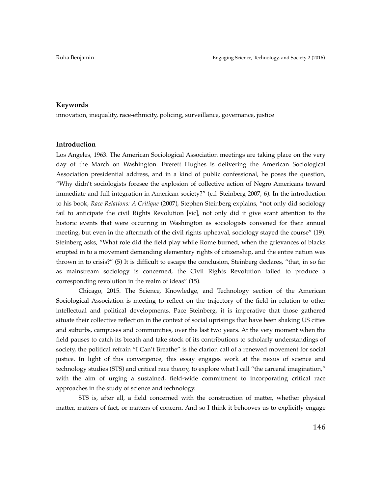#### **Keywords**

innovation, inequality, race-ethnicity, policing, surveillance, governance, justice

### **Introduction**

Los Angeles, 1963. The American Sociological Association meetings are taking place on the very day of the March on Washington. Everett Hughes is delivering the American Sociological Association presidential address, and in a kind of public confessional, he poses the question, "Why didn't sociologists foresee the explosion of collective action of Negro Americans toward immediate and full integration in American society?" (c.f. Steinberg 2007, 6). In the introduction to his book, *Race Relations: A Critique* (2007), Stephen Steinberg explains, "not only did sociology fail to anticipate the civil Rights Revolution [sic], not only did it give scant attention to the historic events that were occurring in Washington as sociologists convened for their annual meeting, but even in the aftermath of the civil rights upheaval, sociology stayed the course" (19). Steinberg asks, "What role did the field play while Rome burned, when the grievances of blacks erupted in to a movement demanding elementary rights of citizenship, and the entire nation was thrown in to crisis?" (5) It is difficult to escape the conclusion, Steinberg declares, "that, in so far as mainstream sociology is concerned, the Civil Rights Revolution failed to produce a corresponding revolution in the realm of ideas" (15).

Chicago, 2015. The Science, Knowledge, and Technology section of the American Sociological Association is meeting to reflect on the trajectory of the field in relation to other intellectual and political developments. Pace Steinberg, it is imperative that those gathered situate their collective reflection in the context of social uprisings that have been shaking US cities and suburbs, campuses and communities, over the last two years. At the very moment when the field pauses to catch its breath and take stock of its contributions to scholarly understandings of society, the political refrain "I Can't Breathe" is the clarion call of a renewed movement for social justice. In light of this convergence, this essay engages work at the nexus of science and technology studies (STS) and critical race theory, to explore what I call "the carceral imagination," with the aim of urging a sustained, field-wide commitment to incorporating critical race approaches in the study of science and technology.

STS is, after all, a field concerned with the construction of matter, whether physical matter, matters of fact, or matters of concern. And so I think it behooves us to explicitly engage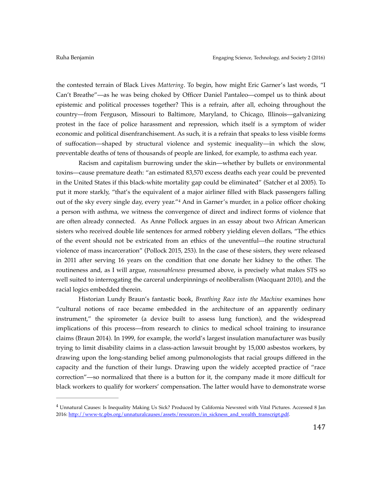the contested terrain of Black Lives *Mattering*. To begin, how might Eric Garner's last words, "I Can't Breathe"––as he was being choked by Officer Daniel Pantaleo––compel us to think about epistemic and political processes together? This is a refrain, after all, echoing throughout the country––from Ferguson, Missouri to Baltimore, Maryland, to Chicago, Illinois––galvanizing protest in the face of police harassment and repression, which itself is a symptom of wider economic and political disenfranchisement. As such, it is a refrain that speaks to less visible forms of suffocation—shaped by structural violence and systemic inequality—in which the slow, preventable deaths of tens of thousands of people are linked, for example, to asthma each year.

Racism and capitalism burrowing under the skin—whether by bullets or environmental toxins—cause premature death: "an estimated 83,570 excess deaths each year could be prevented in the United States if this black-white mortality gap could be eliminated" (Satcher et al 2005). To put it more starkly, "that's the equivalent of a major airliner filled with Black passengers falling out of the sky every single day, every year."<sup>4</sup> And in Garner's murder, in a police officer choking a person with asthma, we witness the convergence of direct and indirect forms of violence that are often already connected. As Anne Pollock argues in an essay about two African American sisters who received double life sentences for armed robbery yielding eleven dollars, "The ethics of the event should not be extricated from an ethics of the uneventful—the routine structural violence of mass incarceration" (Pollock 2015, 253). In the case of these sisters, they were released in 2011 after serving 16 years on the condition that one donate her kidney to the other. The routineness and, as I will argue, *reasonableness* presumed above, is precisely what makes STS so well suited to interrogating the carceral underpinnings of neoliberalism (Wacquant 2010), and the racial logics embedded therein.

Historian Lundy Braun's fantastic book, *Breathing Race into the Machine* examines how "cultural notions of race became embedded in the architecture of an apparently ordinary instrument," the spirometer (a device built to assess lung function), and the widespread implications of this process—from research to clinics to medical school training to insurance claims (Braun 2014). In 1999, for example, the world's largest insulation manufacturer was busily trying to limit disability claims in a class-action lawsuit brought by 15,000 asbestos workers, by drawing upon the long-standing belief among pulmonologists that racial groups differed in the capacity and the function of their lungs. Drawing upon the widely accepted practice of "race correction"—so normalized that there is a button for it, the company made it more difficult for black workers to qualify for workers' compensation. The latter would have to demonstrate worse

<sup>&</sup>lt;sup>4</sup> Unnatural Causes: Is Inequality Making Us Sick? Produced by California Newsreel with Vital Pictures. Accessed 8 Jan 2016: [http://www-tc.pbs.org/unnaturalcauses/assets/resources/in\\_sickness\\_and\\_wealth\\_transcript.pdf](http://www-tc.pbs.org/unnaturalcauses/assets/resources/in_sickness_and_wealth_transcript.pdf).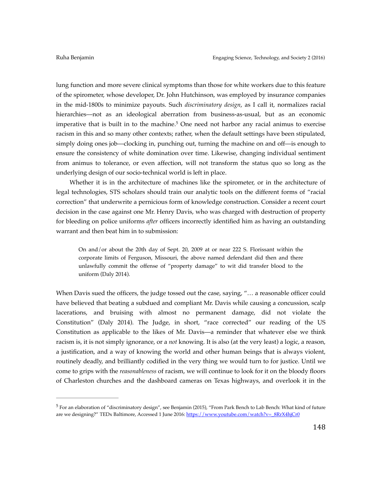lung function and more severe clinical symptoms than those for white workers due to this feature of the spirometer, whose developer, Dr. John Hutchinson, was employed by insurance companies in the mid-1800s to minimize payouts. Such *discriminatory design*, as I call it, normalizes racial hierarchies––not as an ideological aberration from business-as-usual, but as an economic imperative that is built in to the machine.<sup>5</sup> One need not harbor any racial animus to exercise racism in this and so many other contexts; rather, when the default settings have been stipulated, simply doing ones job—clocking in, punching out, turning the machine on and off—is enough to ensure the consistency of white domination over time. Likewise, changing individual sentiment from animus to tolerance, or even affection, will not transform the status quo so long as the underlying design of our socio-technical world is left in place.

Whether it is in the architecture of machines like the spirometer, or in the architecture of legal technologies, STS scholars should train our analytic tools on the different forms of "racial correction" that underwrite a pernicious form of knowledge construction. Consider a recent court decision in the case against one Mr. Henry Davis, who was charged with destruction of property for bleeding on police uniforms *after* officers incorrectly identified him as having an outstanding warrant and then beat him in to submission:

On and/or about the 20th day of Sept. 20, 2009 at or near 222 S. Florissant within the corporate limits of Ferguson, Missouri, the above named defendant did then and there unlawfully commit the offense of "property damage" to wit did transfer blood to the uniform (Daly 2014).

When Davis sued the officers, the judge tossed out the case, saying, "... a reasonable officer could have believed that beating a subdued and compliant Mr. Davis while causing a concussion, scalp lacerations, and bruising with almost no permanent damage, did not violate the Constitution" (Daly 2014). The Judge, in short, "race corrected" our reading of the US Constitution as applicable to the likes of Mr. Davis—a reminder that whatever else we think racism is, it is not simply ignorance, or a *not* knowing. It is also (at the very least) a logic, a reason, a justification, and a way of knowing the world and other human beings that is always violent, routinely deadly, and brilliantly codified in the very thing we would turn to for justice. Until we come to grips with the *reasonableness* of racism, we will continue to look for it on the bloody floors of Charleston churches and the dashboard cameras on Texas highways, and overlook it in the

 $5$  For an elaboration of "discriminatory design", see Benjamin (2015), "From Park Bench to Lab Bench: What kind of future are we designing?" TEDx Baltimore, Accessed 1 June 2016: [https://www.youtube.com/watch?v=\\_8RrX4hjCr0](https://www.youtube.com/watch?v=_8RrX4hjCr0)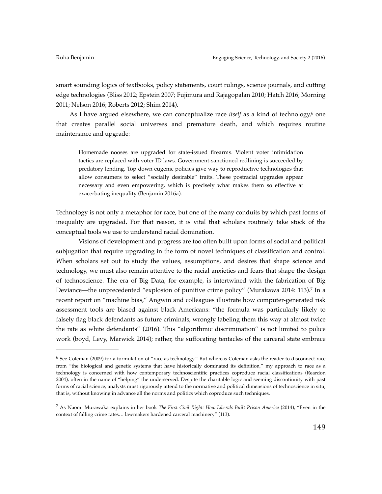smart sounding logics of textbooks, policy statements, court rulings, science journals, and cutting edge technologies (Bliss 2012; Epstein 2007; Fujimura and Rajagopalan 2010; Hatch 2016; Morning 2011; Nelson 2016; Roberts 2012; Shim 2014).

As I have argued elsewhere, we can conceptualize race *itself* as a kind of technology,<sup>6</sup> one that creates parallel social universes and premature death, and which requires routine maintenance and upgrade:

Homemade nooses are upgraded for state-issued firearms. Violent voter intimidation tactics are replaced with voter ID laws. Government-sanctioned redlining is succeeded by predatory lending. Top down eugenic policies give way to reproductive technologies that allow consumers to select "socially desirable" traits. These postracial upgrades appear necessary and even empowering, which is precisely what makes them so effective at exacerbating inequality (Benjamin 2016a).

Technology is not only a metaphor for race, but one of the many conduits by which past forms of inequality are upgraded. For that reason, it is vital that scholars routinely take stock of the conceptual tools we use to understand racial domination.

Visions of development and progress are too often built upon forms of social and political subjugation that require upgrading in the form of novel techniques of classification and control. When scholars set out to study the values, assumptions, and desires that shape science and technology, we must also remain attentive to the racial anxieties and fears that shape the design of technoscience. The era of Big Data, for example, is intertwined with the fabrication of Big Deviance—the unprecedented "explosion of punitive crime policy" (Murakawa 2014: 113).<sup>7</sup> In a recent report on "machine bias," Angwin and colleagues illustrate how computer-generated risk assessment tools are biased against black Americans: "the formula was particularly likely to falsely flag black defendants as future criminals, wrongly labeling them this way at almost twice the rate as white defendants" (2016). This "algorithmic discrimination" is not limited to police work (boyd, Levy, Marwick 2014); rather, the suffocating tentacles of the carceral state embrace

 $6$  See Coleman (2009) for a formulation of "race as technology." But whereas Coleman asks the reader to disconnect race from "the biological and genetic systems that have historically dominated its definition," my approach to race as a technology is concerned with how contemporary technoscientific practices coproduce racial classifications (Reardon 2004), often in the name of "helping" the underserved. Despite the charitable logic and seeming discontinuity with past forms of racial science, analysts must rigorously attend to the normative and political dimensions of technoscience in situ, that is, without knowing in advance all the norms and politics which coproduce such techniques.

As Naomi Murawaka explains in her book *The First Civil Right: How Liberals Built Prison America* (2014), "Even in the 7 context of falling crime rates… lawmakers hardened carceral machinery" (113).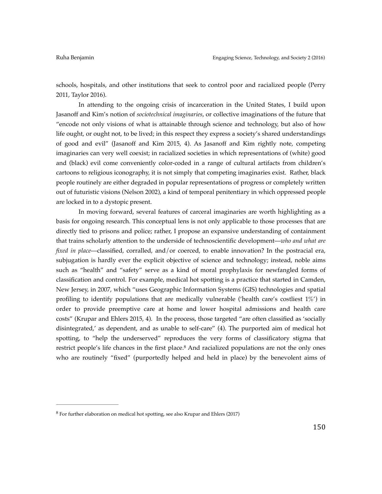schools, hospitals, and other institutions that seek to control poor and racialized people (Perry 2011, Taylor 2016).

In attending to the ongoing crisis of incarceration in the United States, I build upon Jasanoff and Kim's notion of *sociotechnical imaginaries*, or collective imaginations of the future that "encode not only visions of what is attainable through science and technology, but also of how life ought, or ought not, to be lived; in this respect they express a society's shared understandings of good and evil" (Jasanoff and Kim 2015, 4). As Jasanoff and Kim rightly note, competing imaginaries can very well coexist; in racialized societies in which representations of (white) good and (black) evil come conveniently color-coded in a range of cultural artifacts from children's cartoons to religious iconography, it is not simply that competing imaginaries exist. Rather, black people routinely are either degraded in popular representations of progress or completely written out of futuristic visions (Nelson 2002), a kind of temporal penitentiary in which oppressed people are locked in to a dystopic present.

In moving forward, several features of carceral imaginaries are worth highlighting as a basis for ongoing research. This conceptual lens is not only applicable to those processes that are directly tied to prisons and police; rather, I propose an expansive understanding of containment that trains scholarly attention to the underside of technoscientific development—*who and what are fixed in place*—classified, corralled, and/or coerced, to enable innovation? In the postracial era, subjugation is hardly ever the explicit objective of science and technology; instead, noble aims such as "health" and "safety" serve as a kind of moral prophylaxis for newfangled forms of classification and control. For example, medical hot spotting is a practice that started in Camden, New Jersey, in 2007, which "uses Geographic Information Systems (GIS) technologies and spatial profiling to identify populations that are medically vulnerable ('health care's costliest 1%') in order to provide preemptive care at home and lower hospital admissions and health care costs" (Krupar and Ehlers 2015, 4). In the process, those targeted "are often classified as 'socially disintegrated,' as dependent, and as unable to self-care" (4). The purported aim of medical hot spotting, to "help the underserved" reproduces the very forms of classificatory stigma that restrict people's life chances in the first place.<sup>8</sup> And racialized populations are not the only ones who are routinely "fixed" (purportedly helped and held in place) by the benevolent aims of

 $8$  For further elaboration on medical hot spotting, see also Krupar and Ehlers (2017)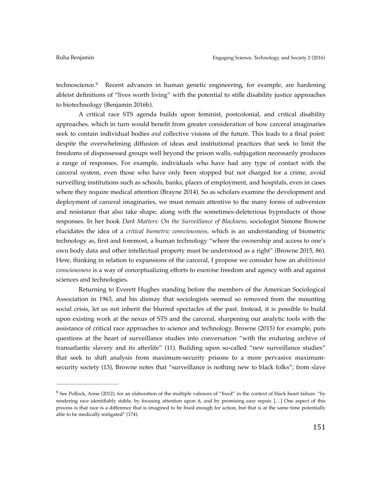technoscience.<sup>9</sup> Recent advances in human genetic engineering, for example, are hardening ableist definitions of "lives worth living" with the potential to stifle disability justice approaches to biotechnology (Benjamin 2016b).

A critical race STS agenda builds upon feminist, postcolonial, and critical disability approaches, which in turn would benefit from greater consideration of how carceral imaginaries seek to contain individual bodies *and* collective visions of the future. This leads to a final point: despite the overwhelming diffusion of ideas and institutional practices that seek to limit the freedoms of dispossessed groups well beyond the prison walls, subjugation necessarily produces a range of responses. For example, individuals who have had any type of contact with the carceral system, even those who have only been stopped but not charged for a crime, avoid surveilling institutions such as schools, banks, places of employment, and hospitals, even in cases where they require medical attention (Brayne 2014). So as scholars examine the development and deployment of carceral imaginaries, we must remain attentive to the many forms of subversion and resistance that also take shape, along with the sometimes-deleterious byproducts of those responses. In her book *Dark Matters: On the Surveillance of Blackness,* sociologist Simone Browne elucidates the idea of a *critical biometric consciousness*, which is an understanding of biometric technology as, first and foremost, a human technology "where the ownership and access to one's own body data and other intellectual property must be understood as a right" (Browne 2015, 86). Here, thinking in relation to expansions of the carceral, I propose we consider how an *abolitionist consciousness* is a way of conceptualizing efforts to exercise freedom and agency with and against sciences and technologies.

Returning to Everett Hughes standing before the members of the American Sociological Association in 1963, and his dismay that sociologists seemed so removed from the mounting social crisis, let us not inherit the blurred spectacles of the past. Instead, it is possible to build upon existing work at the nexus of STS and the carceral, sharpening our analytic tools with the assistance of critical race approaches to science and technology. Browne (2015) for example, puts questions at the heart of surveillance studies into conversation "with the enduring archive of transatlantic slavery and its afterlife" (11). Building upon so-called "new surveillance studies" that seek to shift analysis from maximum-security prisons to a more pervasive maximumsecurity society (13), Browne notes that "surveillance is nothing new to black folks"; from slave

<sup>&</sup>lt;sup>9</sup> See Pollock, Anne (2012), for an elaboration of the multiple valences of "fixed" in the context of black heart failure: "by rendering race identifiably stable, by focusing attention upon it, and by promising easy repair. […] One aspect of this process is that race is a difference that is imagined to be fixed enough for action, but that is at the same time potentially able to be medically mitigated" (174).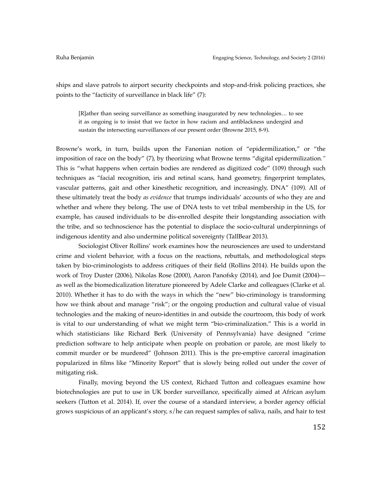ships and slave patrols to airport security checkpoints and stop-and-frisk policing practices, she points to the "facticity of surveillance in black life" (7):

[R]ather than seeing surveillance as something inaugurated by new technologies… to see it as ongoing is to insist that we factor in how racism and antiblackness undergird and sustain the intersecting surveillances of our present order (Browne 2015, 8-9).

Browne's work, in turn, builds upon the Fanonian notion of "epidermilization," or "the imposition of race on the body" (7), by theorizing what Browne terms "digital epidermilization*."* This is "what happens when certain bodies are rendered as digitized code" (109) through such techniques as "facial recognition, iris and retinal scans, hand geometry, fingerprint templates, vascular patterns, gait and other kinesthetic recognition, and increasingly, DNA" (109). All of these ultimately treat the body *as evidence* that trumps individuals' accounts of who they are and whether and where they belong. The use of DNA tests to vet tribal membership in the US, for example, has caused individuals to be dis-enrolled despite their longstanding association with the tribe, and so technoscience has the potential to displace the socio-cultural underpinnings of indigenous identity and also undermine political sovereignty (TallBear 2013).

Sociologist Oliver Rollins' work examines how the neurosciences are used to understand crime and violent behavior, with a focus on the reactions, rebuttals, and methodological steps taken by bio-criminologists to address critiques of their field (Rollins 2014). He builds upon the work of Troy Duster (2006), Nikolas Rose (2000), Aaron Panofsky (2014), and Joe Dumit (2004) as well as the biomedicalization literature pioneered by Adele Clarke and colleagues (Clarke et al. 2010). Whether it has to do with the ways in which the "new" bio-criminology is transforming how we think about and manage "risk"; or the ongoing production and cultural value of visual technologies and the making of neuro-identities in and outside the courtroom, this body of work is vital to our understanding of what we might term "bio-criminalization." This is a world in which statisticians like Richard Berk (University of Pennsylvania) have designed "crime prediction software to help anticipate when people on probation or parole, are most likely to commit murder or be murdered" (Johnson 2011). This is the pre-emptive carceral imagination popularized in films like "Minority Report" that is slowly being rolled out under the cover of mitigating risk.

Finally, moving beyond the US context, Richard Tutton and colleagues examine how biotechnologies are put to use in UK border surveillance, specifically aimed at African asylum seekers (Tutton et al. 2014). If, over the course of a standard interview, a border agency official grows suspicious of an applicant's story, s/he can request samples of saliva, nails, and hair to test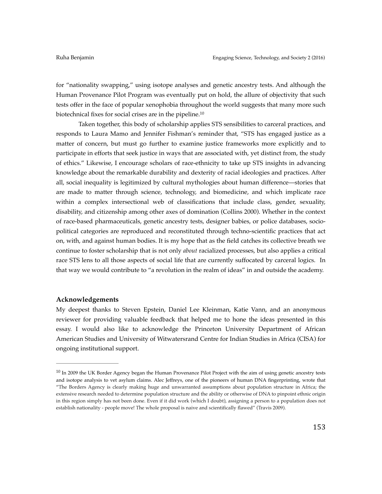for "nationality swapping," using isotope analyses and genetic ancestry tests. And although the Human Provenance Pilot Program was eventually put on hold, the allure of objectivity that such tests offer in the face of popular xenophobia throughout the world suggests that many more such biotechnical fixes for social crises are in the pipeline.10

Taken together, this body of scholarship applies STS sensibilities to carceral practices, and responds to Laura Mamo and Jennifer Fishman's reminder that, "STS has engaged justice as a matter of concern, but must go further to examine justice frameworks more explicitly and to participate in efforts that seek justice in ways that are associated with, yet distinct from, the study of ethics." Likewise, I encourage scholars of race-ethnicity to take up STS insights in advancing knowledge about the remarkable durability and dexterity of racial ideologies and practices. After all, social inequality is legitimized by cultural mythologies about human difference—stories that are made to matter through science, technology, and biomedicine, and which implicate race within a complex intersectional web of classifications that include class, gender, sexuality, disability, and citizenship among other axes of domination (Collins 2000). Whether in the context of race-based pharmaceuticals, genetic ancestry tests, designer babies, or police databases, sociopolitical categories are reproduced and reconstituted through techno-scientific practices that act on, with, and against human bodies. It is my hope that as the field catches its collective breath we continue to foster scholarship that is not only *about* racialized processes, but also applies a critical race STS lens to all those aspects of social life that are currently suffocated by carceral logics. In that way we would contribute to "a revolution in the realm of ideas" in and outside the academy.

# **Acknowledgements**

My deepest thanks to Steven Epstein, Daniel Lee Kleinman, Katie Vann, and an anonymous reviewer for providing valuable feedback that helped me to hone the ideas presented in this essay. I would also like to acknowledge the Princeton University Department of African American Studies and University of Witwatersrand Centre for Indian Studies in Africa (CISA) for ongoing institutional support.

 $10$  In 2009 the UK Border Agency began the Human Provenance Pilot Project with the aim of using genetic ancestry tests and isotope analysis to vet asylum claims. Alec Jeffreys, one of the pioneers of human DNA fingerprinting, wrote that "The Borders Agency is clearly making huge and unwarranted assumptions about population structure in Africa; the extensive research needed to determine population structure and the ability or otherwise of DNA to pinpoint ethnic origin in this region simply has not been done. Even if it did work (which I doubt), assigning a person to a population does not establish nationality - people move! The whole proposal is naive and scientifically flawed" (Travis 2009).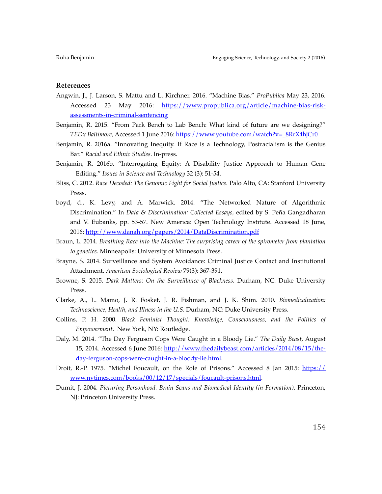# **References**

- Angwin, J., J. Larson, S. Mattu and L. Kirchner. 2016. "Machine Bias." *ProPublica* May 23, 2016. [Accessed 23 May 2016: https://www.propublica.org/article/machine-bias-risk](https://www.propublica.org/article/machine-bias-risk-assessments-in-criminal-sentencing)assessments-in-criminal-sentencing
- Benjamin, R. 2015. "From Park Bench to Lab Bench: What kind of future are we designing?" *TEDx Baltimore*, Accessed 1 June 2016: [https://www.youtube.com/watch?v=\\_8RrX4hjCr0](https://www.youtube.com/watch?v=_8RrX4hjCr0)
- Benjamin, R. 2016a. "Innovating Inequity. If Race is a Technology, Postracialism is the Genius Bar." *Racial and Ethnic Studies*. In-press.
- Benjamin, R. 2016b. "Interrogating Equity: A Disability Justice Approach to Human Gene Editing." *Issues in Science and Technology* 32 (3): 51-54.
- Bliss, C. 2012. *Race Decoded: The Genomic Fight for Social Justice*. Palo Alto, CA: Stanford University Press.
- boyd, d., K. Levy, and A. Marwick. 2014. "The Networked Nature of Algorithmic Discrimination." In *Data & Discrimination: Collected Essays,* edited by S. Peña Gangadharan and V. Eubanks, pp. 53-57. New America: Open Technology Institute. Accessed 18 June, 2016: <http://www.danah.org/papers/2014/DataDiscrimination.pdf>
- Braun, L. 2014. *Breathing Race into the Machine: The surprising career of the spirometer from plantation to genetics*. Minneapolis: University of Minnesota Press.
- Brayne, S. 2014. Surveillance and System Avoidance: Criminal Justice Contact and Institutional Attachment. *American Sociological Review* 79(3): 367-391.
- Browne, S. 2015. *Dark Matters: On the Surveillance of Blackness*. Durham, NC: Duke University Press.
- Clarke, A., L. Mamo, J. R. Fosket, J. R. Fishman, and J. K. Shim. 2010*. Biomedicalization: Technoscience, Health, and Illness in the U.S*. Durham, NC: Duke University Press.
- Collins, P. H. 2000. *Black Feminist Thought: Knowledge, Consciousness, and the Politics of Empowerment*. New York, NY: Routledge.
- Daly, M. 2014. "The Day Ferguson Cops Were Caught in a Bloody Lie." *The Daily Beast,* August [15, 2014. Accessed 6 June 2016: http://www.thedailybeast.com/articles/2014/08/15/the](http://www.thedailybeast.com/articles/2014/08/15/the-day-ferguson-cops-were-caught-in-a-bloody-lie.html)day-ferguson-cops-were-caught-in-a-bloody-lie.html.
- Droi[t, R.-P. 1975. "Michel Foucault, on the Role of Prisons." Accessed 8 Jan 2015: https://](https://www.nytimes.com/books/00/12/17/specials/foucault-prisons.html) www.nytimes.com/books/00/12/17/specials/foucault-prisons.html.
- Dumit, J. 2004. *Picturing Personhood. Brain Scans and Biomedical Identity (in Formation)*. Princeton, NJ: Princeton University Press.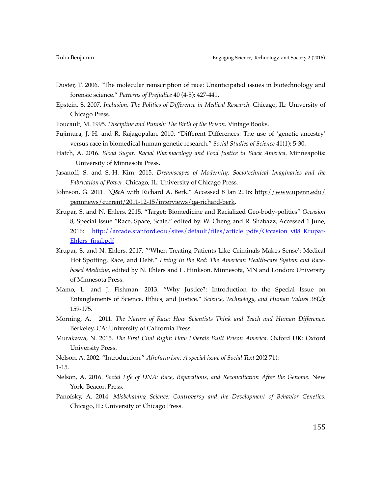- Duster, T. 2006. "The molecular reinscription of race: Unanticipated issues in biotechnology and forensic science." *Patterns of Prejudice* 40 (4-5): 427-441.
- Epstein, S. 2007. *Inclusion: The Politics of Difference in Medical Research*. Chicago, IL: University of Chicago Press.
- Foucault, M. 1995. *Discipline and Punish: The Birth of the Prison*. Vintage Books.
- Fujimura, J. H. and R. Rajagopalan. 2010. "Different Differences: The use of 'genetic ancestry' versus race in biomedical human genetic research." *Social Studies of Science* 41(1): 5-30.
- Hatch, A. 2016. *Blood Sugar: Racial Pharmacology and Food Justice in Black America*. Minneapolis: University of Minnesota Press.
- Jasanoff, S. and S.-H. Kim. 2015. *Dreamscapes of Modernity: Sociotechnical Imaginaries and the Fabrication of Power*. Chicago, IL: University of Chicago Press.
- John[son, G. 2011. "Q&A with Richard A. Berk." Accessed 8 Jan 2016: http://www.upenn.edu/](http://www.upenn.edu/pennnews/current/2011-12-15/interviews/qa-richard-berk) pennnews/current/2011-12-15/interviews/qa-richard-berk.
- Krupar, S. and N. Ehlers. 2015. "Target: Biomedicine and Racialized Geo-body-politics" *Occasion*  8, Special Issue "Race, Space, Scale," edited by. W. Cheng and R. Shabazz, Accessed 1 June, [2016: http://arcade.stanford.edu/sites/default/files/article\\_pdfs/Occasion\\_v08\\_Krupar-](http://arcade.stanford.edu/sites/default/files/article_pdfs/Occasion_v08_Krupar-Ehlers_final.pdf)Ehlers\_final.pdf
- Krupar, S. and N. Ehlers. 2017. "'When Treating Patients Like Criminals Makes Sense': Medical Hot Spotting, Race, and Debt." *Living In the Red: The American Health-care System and Racebased Medicine*, edited by N. Ehlers and L. Hinkson. Minnesota, MN and London: University of Minnesota Press.
- Mamo, L. and J. Fishman. 2013. "Why Justice?: Introduction to the Special Issue on Entanglements of Science, Ethics, and Justice." *Science, Technology, and Human Values* 38(2): 159-175.
- Morning, A. 2011. *The Nature of Race: How Scientists Think and Teach and Human Difference*. Berkeley, CA: University of California Press.
- Murakawa, N. 2015. *The First Civil Right: How Liberals Built Prison America*. Oxford UK: Oxford University Press.

Nelson, A. 2002. "Introduction." *Afrofuturism: A special issue of Social Text* 20(2 71):

1-15.

- Nelson, A. 2016. *Social Life of DNA: Race, Reparations, and Reconciliation After the Genome*. New York: Beacon Press.
- Panofsky, A. 2014. *Misbehaving Science: Controversy and the Development of Behavior Genetics*. Chicago, IL: University of Chicago Press.